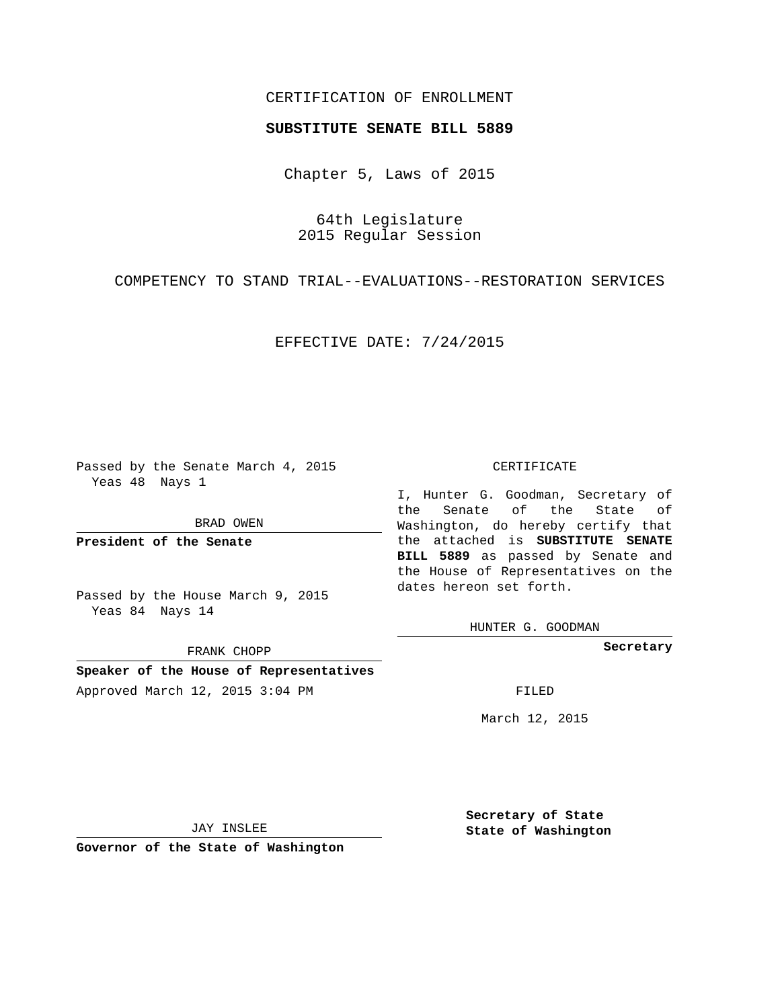## CERTIFICATION OF ENROLLMENT

## **SUBSTITUTE SENATE BILL 5889**

Chapter 5, Laws of 2015

64th Legislature 2015 Regular Session

COMPETENCY TO STAND TRIAL--EVALUATIONS--RESTORATION SERVICES

EFFECTIVE DATE: 7/24/2015

Passed by the Senate March 4, 2015 Yeas 48 Nays 1

BRAD OWEN

**President of the Senate**

Passed by the House March 9, 2015 Yeas 84 Nays 14

FRANK CHOPP

**Speaker of the House of Representatives**

# Approved March 12, 2015 3:04 PM FILED

#### CERTIFICATE

I, Hunter G. Goodman, Secretary of the Senate of the State of Washington, do hereby certify that the attached is **SUBSTITUTE SENATE BILL 5889** as passed by Senate and the House of Representatives on the dates hereon set forth.

HUNTER G. GOODMAN

**Secretary**

March 12, 2015

JAY INSLEE

**Governor of the State of Washington**

**Secretary of State State of Washington**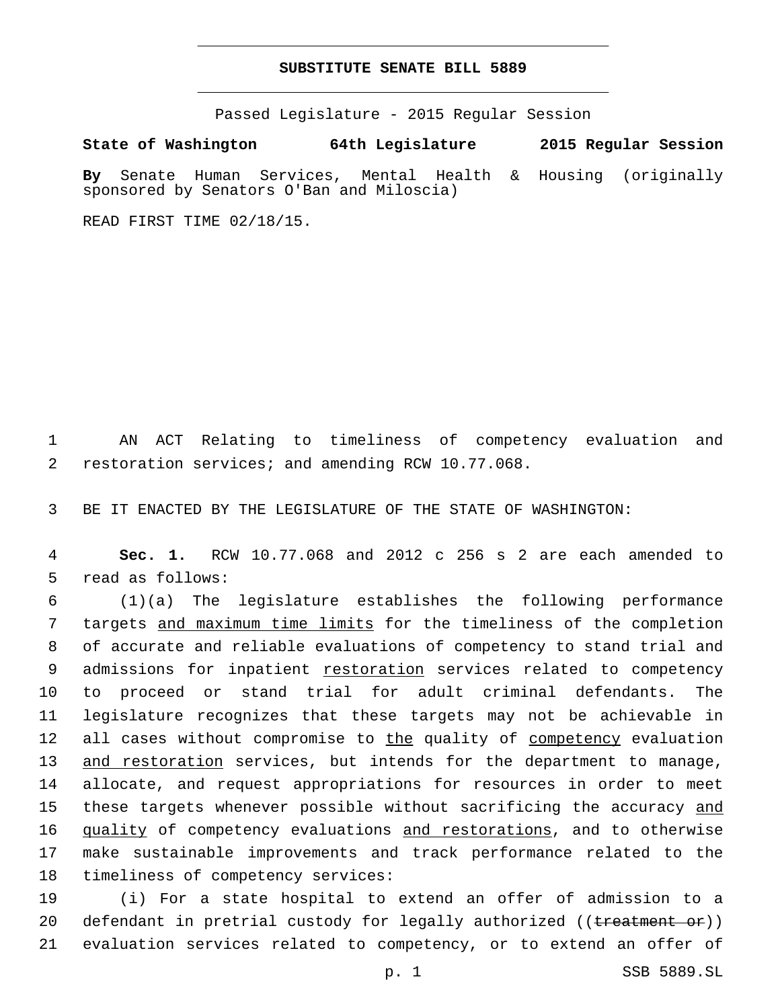## **SUBSTITUTE SENATE BILL 5889**

Passed Legislature - 2015 Regular Session

**State of Washington 64th Legislature 2015 Regular Session**

**By** Senate Human Services, Mental Health & Housing (originally sponsored by Senators O'Ban and Miloscia)

READ FIRST TIME 02/18/15.

1 AN ACT Relating to timeliness of competency evaluation and 2 restoration services; and amending RCW 10.77.068.

3 BE IT ENACTED BY THE LEGISLATURE OF THE STATE OF WASHINGTON:

4 **Sec. 1.** RCW 10.77.068 and 2012 c 256 s 2 are each amended to 5 read as follows:

6 (1)(a) The legislature establishes the following performance 7 targets and maximum time limits for the timeliness of the completion 8 of accurate and reliable evaluations of competency to stand trial and 9 admissions for inpatient restoration services related to competency 10 to proceed or stand trial for adult criminal defendants. The 11 legislature recognizes that these targets may not be achievable in 12 all cases without compromise to the quality of competency evaluation 13 and restoration services, but intends for the department to manage, 14 allocate, and request appropriations for resources in order to meet 15 these targets whenever possible without sacrificing the accuracy and 16 quality of competency evaluations and restorations, and to otherwise 17 make sustainable improvements and track performance related to the 18 timeliness of competency services:

19 (i) For a state hospital to extend an offer of admission to a 20 defendant in pretrial custody for legally authorized ((treatment or)) 21 evaluation services related to competency, or to extend an offer of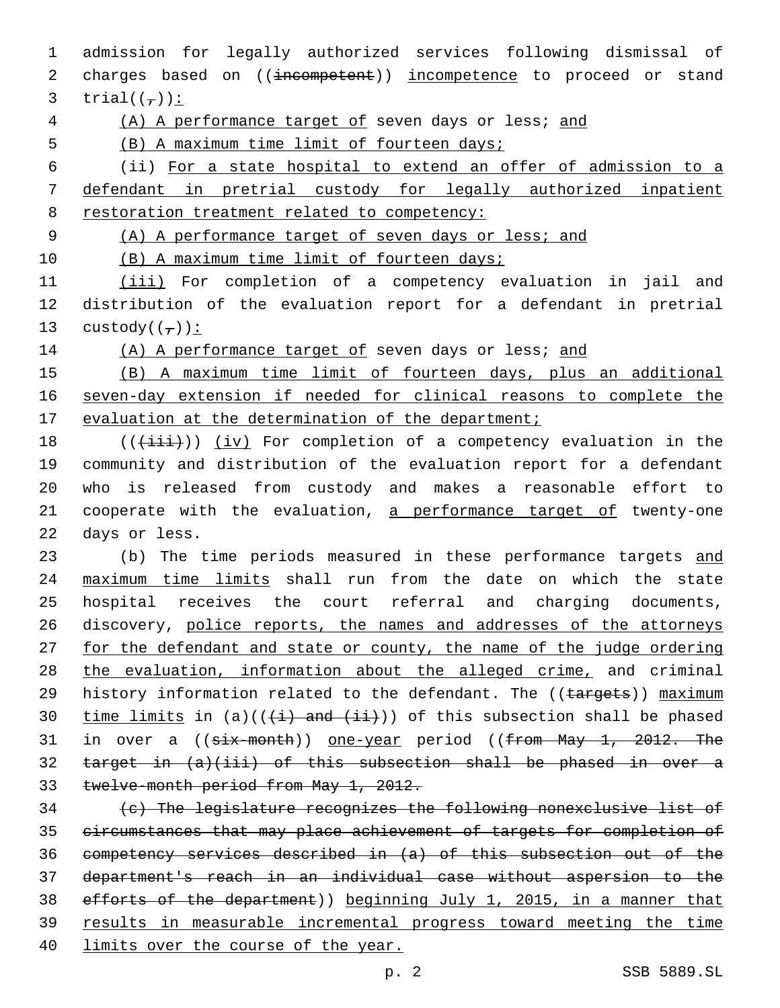admission for legally authorized services following dismissal of 2 charges based on ((incompetent)) incompetence to proceed or stand 3 trial $((\tau))$ :

(A) A performance target of seven days or less; and

(B) A maximum time limit of fourteen days;

 (ii) For a state hospital to extend an offer of admission to a defendant in pretrial custody for legally authorized inpatient restoration treatment related to competency:

(A) A performance target of seven days or less; and

10 (B) A maximum time limit of fourteen days;

 (iii) For completion of a competency evaluation in jail and distribution of the evaluation report for a defendant in pretrial 13 custody( $(\tau)$ ):

14 (A) A performance target of seven days or less; and

 (B) A maximum time limit of fourteen days, plus an additional seven-day extension if needed for clinical reasons to complete the 17 evaluation at the determination of the department;

 (( $(\overrightarrow{\pm i}i)$ ) (iv) For completion of a competency evaluation in the community and distribution of the evaluation report for a defendant who is released from custody and makes a reasonable effort to 21 cooperate with the evaluation, a performance target of twenty-one 22 days or less.

23 (b) The time periods measured in these performance targets and maximum time limits shall run from the date on which the state hospital receives the court referral and charging documents, discovery, police reports, the names and addresses of the attorneys 27 for the defendant and state or county, the name of the judge ordering 28 the evaluation, information about the alleged crime, and criminal 29 history information related to the defendant. The ((targets)) maximum 30 time limits in (a)( $(\frac{1}{1})$  and  $(\frac{1}{1})$ ) of this subsection shall be phased 31 in over a ((six-month)) one-year period ((from May 1, 2012. The target in (a)(iii) of this subsection shall be phased in over a twelve-month period from May 1, 2012.

 (c) The legislature recognizes the following nonexclusive list of circumstances that may place achievement of targets for completion of competency services described in (a) of this subsection out of the department's reach in an individual case without aspersion to the efforts of the department)) beginning July 1, 2015, in a manner that results in measurable incremental progress toward meeting the time limits over the course of the year.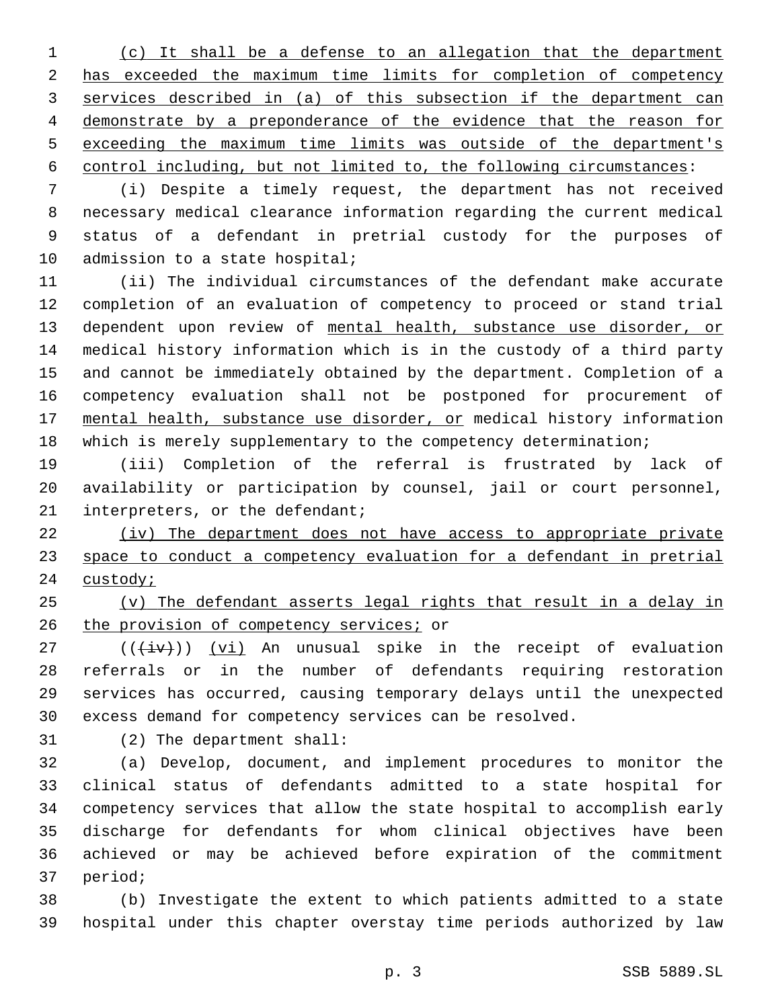(c) It shall be a defense to an allegation that the department has exceeded the maximum time limits for completion of competency services described in (a) of this subsection if the department can demonstrate by a preponderance of the evidence that the reason for exceeding the maximum time limits was outside of the department's control including, but not limited to, the following circumstances:

 (i) Despite a timely request, the department has not received necessary medical clearance information regarding the current medical status of a defendant in pretrial custody for the purposes of 10 admission to a state hospital;

 (ii) The individual circumstances of the defendant make accurate completion of an evaluation of competency to proceed or stand trial 13 dependent upon review of mental health, substance use disorder, or medical history information which is in the custody of a third party and cannot be immediately obtained by the department. Completion of a competency evaluation shall not be postponed for procurement of mental health, substance use disorder, or medical history information which is merely supplementary to the competency determination;

 (iii) Completion of the referral is frustrated by lack of availability or participation by counsel, jail or court personnel, 21 interpreters, or the defendant;

 (iv) The department does not have access to appropriate private space to conduct a competency evaluation for a defendant in pretrial 24 custody;

 (v) The defendant asserts legal rights that result in a delay in 26 the provision of competency services; or

 (( $\overline{+iv}$ )) (vi) An unusual spike in the receipt of evaluation referrals or in the number of defendants requiring restoration services has occurred, causing temporary delays until the unexpected excess demand for competency services can be resolved.

31 (2) The department shall:

 (a) Develop, document, and implement procedures to monitor the clinical status of defendants admitted to a state hospital for competency services that allow the state hospital to accomplish early discharge for defendants for whom clinical objectives have been achieved or may be achieved before expiration of the commitment 37 period;

 (b) Investigate the extent to which patients admitted to a state hospital under this chapter overstay time periods authorized by law